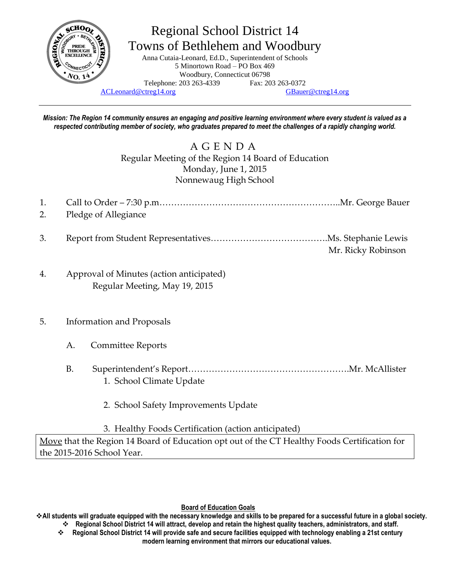

# Regional School District 14 Towns of Bethlehem and Woodbury

Anna Cutaia-Leonard, Ed.D., Superintendent of Schools 5 Minortown Road – PO Box 469 Woodbury, Connecticut 06798 Telephone: 203 263-4339 Fax: 203 263-0372

[ACLeonard@ctreg14.org](mailto:ACLeonard@ctreg14.org) [GBauer@ctreg14.org](mailto:GBauer@ctreg14.org)

*Mission: The Region 14 community ensures an engaging and positive learning environment where every student is valued as a respected contributing member of society, who graduates prepared to meet the challenges of a rapidly changing world.*

> A G E N D A Regular Meeting of the Region 14 Board of Education Monday, June 1, 2015 Nonnewaug High School

1. Call to Order – 7:30 p.m……………………………………………………..Mr. George Bauer 2. Pledge of Allegiance

- 3. Report from Student Representatives………………………………….Ms. Stephanie Lewis Mr. Ricky Robinson
- 4. Approval of Minutes (action anticipated) Regular Meeting, May 19, 2015

### 5. Information and Proposals

- A. Committee Reports
- B. Superintendent's Report……………………………………………….Mr. McAllister 1. School Climate Update
	- 2. School Safety Improvements Update

3. Healthy Foods Certification (action anticipated)

Move that the Region 14 Board of Education opt out of the CT Healthy Foods Certification for the 2015-2016 School Year.

#### **Board of Education Goals**

**All students will graduate equipped with the necessary knowledge and skills to be prepared for a successful future in a global society. Regional School District 14 will attract, develop and retain the highest quality teachers, administrators, and staff.**

 **Regional School District 14 will provide safe and secure facilities equipped with technology enabling a 21st century modern learning environment that mirrors our educational values.**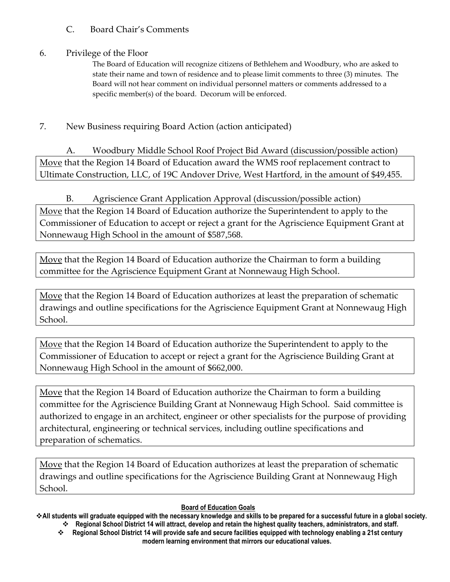## C. Board Chair's Comments

## 6. Privilege of the Floor

The Board of Education will recognize citizens of Bethlehem and Woodbury, who are asked to state their name and town of residence and to please limit comments to three (3) minutes. The Board will not hear comment on individual personnel matters or comments addressed to a specific member(s) of the board. Decorum will be enforced.

# 7. New Business requiring Board Action (action anticipated)

A. Woodbury Middle School Roof Project Bid Award (discussion/possible action) Move that the Region 14 Board of Education award the WMS roof replacement contract to Ultimate Construction, LLC, of 19C Andover Drive, West Hartford, in the amount of \$49,455.

B. Agriscience Grant Application Approval (discussion/possible action) Move that the Region 14 Board of Education authorize the Superintendent to apply to the Commissioner of Education to accept or reject a grant for the Agriscience Equipment Grant at Nonnewaug High School in the amount of \$587,568.

Move that the Region 14 Board of Education authorize the Chairman to form a building committee for the Agriscience Equipment Grant at Nonnewaug High School.

Move that the Region 14 Board of Education authorizes at least the preparation of schematic drawings and outline specifications for the Agriscience Equipment Grant at Nonnewaug High School.

Move that the Region 14 Board of Education authorize the Superintendent to apply to the Commissioner of Education to accept or reject a grant for the Agriscience Building Grant at Nonnewaug High School in the amount of \$662,000.

Move that the Region 14 Board of Education authorize the Chairman to form a building committee for the Agriscience Building Grant at Nonnewaug High School. Said committee is authorized to engage in an architect, engineer or other specialists for the purpose of providing architectural, engineering or technical services, including outline specifications and preparation of schematics.

Move that the Region 14 Board of Education authorizes at least the preparation of schematic drawings and outline specifications for the Agriscience Building Grant at Nonnewaug High School.

#### **Board of Education Goals**

**All students will graduate equipped with the necessary knowledge and skills to be prepared for a successful future in a global society.** 

 **Regional School District 14 will attract, develop and retain the highest quality teachers, administrators, and staff. Regional School District 14 will provide safe and secure facilities equipped with technology enabling a 21st century modern learning environment that mirrors our educational values.**